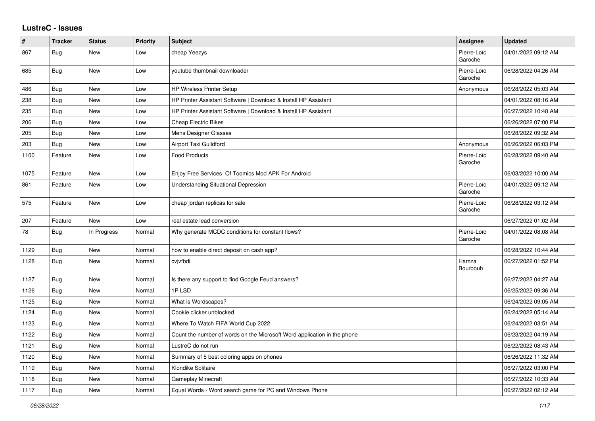## **LustreC - Issues**

| #    | <b>Tracker</b> | <b>Status</b> | <b>Priority</b> | <b>Subject</b>                                                           | Assignee               | <b>Updated</b>      |
|------|----------------|---------------|-----------------|--------------------------------------------------------------------------|------------------------|---------------------|
| 867  | Bug            | New           | Low             | cheap Yeezys                                                             | Pierre-Loïc<br>Garoche | 04/01/2022 09:12 AM |
| 685  | Bug            | New           | Low             | youtube thumbnail downloader                                             | Pierre-Loïc<br>Garoche | 06/28/2022 04:26 AM |
| 486  | Bug            | New           | Low             | <b>HP Wireless Printer Setup</b>                                         | Anonymous              | 06/28/2022 05:03 AM |
| 238  | <b>Bug</b>     | New           | Low             | HP Printer Assistant Software   Download & Install HP Assistant          |                        | 04/01/2022 08:16 AM |
| 235  | <b>Bug</b>     | New           | Low             | HP Printer Assistant Software   Download & Install HP Assistant          |                        | 06/27/2022 10:48 AM |
| 206  | Bug            | New           | Low             | <b>Cheap Electric Bikes</b>                                              |                        | 06/26/2022 07:00 PM |
| 205  | Bug            | New           | Low             | Mens Designer Glasses                                                    |                        | 06/28/2022 09:32 AM |
| 203  | Bug            | New           | Low             | Airport Taxi Guildford                                                   | Anonymous              | 06/26/2022 06:03 PM |
| 1100 | Feature        | <b>New</b>    | Low             | <b>Food Products</b>                                                     | Pierre-Loïc<br>Garoche | 06/28/2022 09:40 AM |
| 1075 | Feature        | New           | Low             | Enjoy Free Services Of Toomics Mod APK For Android                       |                        | 06/03/2022 10:00 AM |
| 861  | Feature        | New           | Low             | <b>Understanding Situational Depression</b>                              | Pierre-Loïc<br>Garoche | 04/01/2022 09:12 AM |
| 575  | Feature        | New           | Low             | cheap jordan replicas for sale                                           | Pierre-Loïc<br>Garoche | 06/28/2022 03:12 AM |
| 207  | Feature        | <b>New</b>    | Low             | real estate lead conversion                                              |                        | 06/27/2022 01:02 AM |
| 78   | Bug            | In Progress   | Normal          | Why generate MCDC conditions for constant flows?                         | Pierre-Loïc<br>Garoche | 04/01/2022 08:08 AM |
| 1129 | <b>Bug</b>     | New           | Normal          | how to enable direct deposit on cash app?                                |                        | 06/28/2022 10:44 AM |
| 1128 | Bug            | New           | Normal          | cvjvfbdi                                                                 | Hamza<br>Bourbouh      | 06/27/2022 01:52 PM |
| 1127 | Bug            | New           | Normal          | Is there any support to find Google Feud answers?                        |                        | 06/27/2022 04:27 AM |
| 1126 | Bug            | New           | Normal          | 1PLSD                                                                    |                        | 06/25/2022 09:36 AM |
| 1125 | Bug            | New           | Normal          | What is Wordscapes?                                                      |                        | 06/24/2022 09:05 AM |
| 1124 | Bug            | <b>New</b>    | Normal          | Cookie clicker unblocked                                                 |                        | 06/24/2022 05:14 AM |
| 1123 | Bug            | New           | Normal          | Where To Watch FIFA World Cup 2022                                       |                        | 06/24/2022 03:51 AM |
| 1122 | Bug            | New           | Normal          | Count the number of words on the Microsoft Word application in the phone |                        | 06/23/2022 04:19 AM |
| 1121 | Bug            | New           | Normal          | LustreC do not run                                                       |                        | 06/22/2022 08:43 AM |
| 1120 | Bug            | New           | Normal          | Summary of 5 best coloring apps on phones                                |                        | 06/26/2022 11:32 AM |
| 1119 | Bug            | New           | Normal          | Klondike Solitaire                                                       |                        | 06/27/2022 03:00 PM |
| 1118 | <b>Bug</b>     | New           | Normal          | Gameplay Minecraft                                                       |                        | 06/27/2022 10:33 AM |
| 1117 | Bug            | <b>New</b>    | Normal          | Equal Words - Word search game for PC and Windows Phone                  |                        | 06/27/2022 02:12 AM |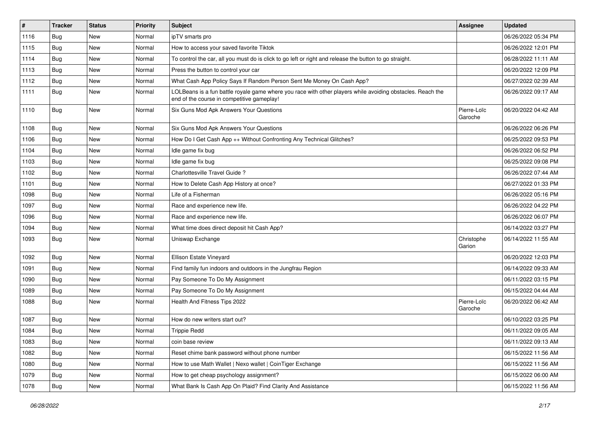| $\sharp$ | <b>Tracker</b> | <b>Status</b> | <b>Priority</b> | <b>Subject</b>                                                                                                                                           | Assignee               | <b>Updated</b>      |
|----------|----------------|---------------|-----------------|----------------------------------------------------------------------------------------------------------------------------------------------------------|------------------------|---------------------|
| 1116     | Bug            | New           | Normal          | ipTV smarts pro                                                                                                                                          |                        | 06/26/2022 05:34 PM |
| 1115     | Bug            | <b>New</b>    | Normal          | How to access your saved favorite Tiktok                                                                                                                 |                        | 06/26/2022 12:01 PM |
| 1114     | Bug            | New           | Normal          | To control the car, all you must do is click to go left or right and release the button to go straight.                                                  |                        | 06/28/2022 11:11 AM |
| 1113     | Bug            | <b>New</b>    | Normal          | Press the button to control your car                                                                                                                     |                        | 06/20/2022 12:09 PM |
| 1112     | Bug            | <b>New</b>    | Normal          | What Cash App Policy Says If Random Person Sent Me Money On Cash App?                                                                                    |                        | 06/27/2022 02:39 AM |
| 1111     | <b>Bug</b>     | New           | Normal          | LOLBeans is a fun battle royale game where you race with other players while avoiding obstacles. Reach the<br>end of the course in competitive gameplay! |                        | 06/26/2022 09:17 AM |
| 1110     | Bug            | <b>New</b>    | Normal          | Six Guns Mod Apk Answers Your Questions                                                                                                                  | Pierre-Loïc<br>Garoche | 06/20/2022 04:42 AM |
| 1108     | Bug            | <b>New</b>    | Normal          | Six Guns Mod Apk Answers Your Questions                                                                                                                  |                        | 06/26/2022 06:26 PM |
| 1106     | Bug            | New           | Normal          | How Do I Get Cash App ++ Without Confronting Any Technical Glitches?                                                                                     |                        | 06/25/2022 09:53 PM |
| 1104     | Bug            | <b>New</b>    | Normal          | Idle game fix bug                                                                                                                                        |                        | 06/26/2022 06:52 PM |
| 1103     | Bug            | <b>New</b>    | Normal          | Idle game fix bug                                                                                                                                        |                        | 06/25/2022 09:08 PM |
| 1102     | Bug            | <b>New</b>    | Normal          | Charlottesville Travel Guide?                                                                                                                            |                        | 06/26/2022 07:44 AM |
| 1101     | Bug            | New           | Normal          | How to Delete Cash App History at once?                                                                                                                  |                        | 06/27/2022 01:33 PM |
| 1098     | Bug            | <b>New</b>    | Normal          | Life of a Fisherman                                                                                                                                      |                        | 06/26/2022 05:16 PM |
| 1097     | Bug            | New           | Normal          | Race and experience new life.                                                                                                                            |                        | 06/26/2022 04:22 PM |
| 1096     | Bug            | <b>New</b>    | Normal          | Race and experience new life.                                                                                                                            |                        | 06/26/2022 06:07 PM |
| 1094     | Bug            | New           | Normal          | What time does direct deposit hit Cash App?                                                                                                              |                        | 06/14/2022 03:27 PM |
| 1093     | <b>Bug</b>     | New           | Normal          | Uniswap Exchange                                                                                                                                         | Christophe<br>Garion   | 06/14/2022 11:55 AM |
| 1092     | Bug            | <b>New</b>    | Normal          | Ellison Estate Vineyard                                                                                                                                  |                        | 06/20/2022 12:03 PM |
| 1091     | Bug            | <b>New</b>    | Normal          | Find family fun indoors and outdoors in the Jungfrau Region                                                                                              |                        | 06/14/2022 09:33 AM |
| 1090     | Bug            | New           | Normal          | Pay Someone To Do My Assignment                                                                                                                          |                        | 06/11/2022 03:15 PM |
| 1089     | Bug            | New           | Normal          | Pay Someone To Do My Assignment                                                                                                                          |                        | 06/15/2022 04:44 AM |
| 1088     | Bug            | New           | Normal          | Health And Fitness Tips 2022                                                                                                                             | Pierre-Loïc<br>Garoche | 06/20/2022 06:42 AM |
| 1087     | Bug            | <b>New</b>    | Normal          | How do new writers start out?                                                                                                                            |                        | 06/10/2022 03:25 PM |
| 1084     | Bug            | New           | Normal          | <b>Trippie Redd</b>                                                                                                                                      |                        | 06/11/2022 09:05 AM |
| 1083     | <b>Bug</b>     | New           | Normal          | coin base review                                                                                                                                         |                        | 06/11/2022 09:13 AM |
| 1082     | <b>Bug</b>     | New           | Normal          | Reset chime bank password without phone number                                                                                                           |                        | 06/15/2022 11:56 AM |
| 1080     | <b>Bug</b>     | New           | Normal          | How to use Math Wallet   Nexo wallet   CoinTiger Exchange                                                                                                |                        | 06/15/2022 11:56 AM |
| 1079     | <b>Bug</b>     | New           | Normal          | How to get cheap psychology assignment?                                                                                                                  |                        | 06/15/2022 06:00 AM |
| 1078     | <b>Bug</b>     | New           | Normal          | What Bank Is Cash App On Plaid? Find Clarity And Assistance                                                                                              |                        | 06/15/2022 11:56 AM |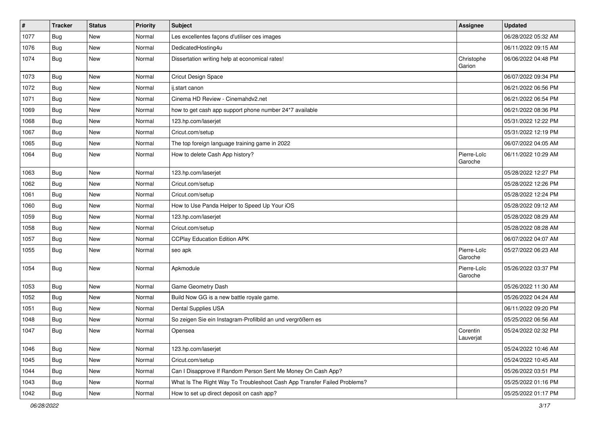| #    | <b>Tracker</b> | <b>Status</b> | Priority | Subject                                                                  | <b>Assignee</b>        | <b>Updated</b>      |
|------|----------------|---------------|----------|--------------------------------------------------------------------------|------------------------|---------------------|
| 1077 | <b>Bug</b>     | New           | Normal   | Les excellentes façons d'utiliser ces images                             |                        | 06/28/2022 05:32 AM |
| 1076 | Bug            | <b>New</b>    | Normal   | DedicatedHosting4u                                                       |                        | 06/11/2022 09:15 AM |
| 1074 | Bug            | New           | Normal   | Dissertation writing help at economical rates!                           | Christophe<br>Garion   | 06/06/2022 04:48 PM |
| 1073 | Bug            | <b>New</b>    | Normal   | <b>Cricut Design Space</b>                                               |                        | 06/07/2022 09:34 PM |
| 1072 | Bug            | New           | Normal   | ij.start canon                                                           |                        | 06/21/2022 06:56 PM |
| 1071 | <b>Bug</b>     | <b>New</b>    | Normal   | Cinema HD Review - Cinemahdy2.net                                        |                        | 06/21/2022 06:54 PM |
| 1069 | Bug            | <b>New</b>    | Normal   | how to get cash app support phone number 24*7 available                  |                        | 06/21/2022 08:36 PM |
| 1068 | Bug            | <b>New</b>    | Normal   | 123.hp.com/laserjet                                                      |                        | 05/31/2022 12:22 PM |
| 1067 | Bug            | <b>New</b>    | Normal   | Cricut.com/setup                                                         |                        | 05/31/2022 12:19 PM |
| 1065 | Bug            | New           | Normal   | The top foreign language training game in 2022                           |                        | 06/07/2022 04:05 AM |
| 1064 | <b>Bug</b>     | New           | Normal   | How to delete Cash App history?                                          | Pierre-Loïc<br>Garoche | 06/11/2022 10:29 AM |
| 1063 | Bug            | <b>New</b>    | Normal   | 123.hp.com/laserjet                                                      |                        | 05/28/2022 12:27 PM |
| 1062 | <b>Bug</b>     | <b>New</b>    | Normal   | Cricut.com/setup                                                         |                        | 05/28/2022 12:26 PM |
| 1061 | Bug            | <b>New</b>    | Normal   | Cricut.com/setup                                                         |                        | 05/28/2022 12:24 PM |
| 1060 | Bug            | New           | Normal   | How to Use Panda Helper to Speed Up Your iOS                             |                        | 05/28/2022 09:12 AM |
| 1059 | <b>Bug</b>     | <b>New</b>    | Normal   | 123.hp.com/laserjet                                                      |                        | 05/28/2022 08:29 AM |
| 1058 | <b>Bug</b>     | New           | Normal   | Cricut.com/setup                                                         |                        | 05/28/2022 08:28 AM |
| 1057 | <b>Bug</b>     | New           | Normal   | <b>CCPlay Education Edition APK</b>                                      |                        | 06/07/2022 04:07 AM |
| 1055 | <b>Bug</b>     | New           | Normal   | seo apk                                                                  | Pierre-Loïc<br>Garoche | 05/27/2022 06:23 AM |
| 1054 | Bug            | <b>New</b>    | Normal   | Apkmodule                                                                | Pierre-Loïc<br>Garoche | 05/26/2022 03:37 PM |
| 1053 | Bug            | <b>New</b>    | Normal   | Game Geometry Dash                                                       |                        | 05/26/2022 11:30 AM |
| 1052 | Bug            | <b>New</b>    | Normal   | Build Now GG is a new battle royale game.                                |                        | 05/26/2022 04:24 AM |
| 1051 | <b>Bug</b>     | New           | Normal   | Dental Supplies USA                                                      |                        | 06/11/2022 09:20 PM |
| 1048 | <b>Bug</b>     | New           | Normal   | So zeigen Sie ein Instagram-Profilbild an und vergrößern es              |                        | 05/25/2022 06:56 AM |
| 1047 | <b>Bug</b>     | New           | Normal   | Opensea                                                                  | Corentin<br>Lauverjat  | 05/24/2022 02:32 PM |
| 1046 | <b>Bug</b>     | New           | Normal   | 123.hp.com/laserjet                                                      |                        | 05/24/2022 10:46 AM |
| 1045 | Bug            | New           | Normal   | Cricut.com/setup                                                         |                        | 05/24/2022 10:45 AM |
| 1044 | <b>Bug</b>     | New           | Normal   | Can I Disapprove If Random Person Sent Me Money On Cash App?             |                        | 05/26/2022 03:51 PM |
| 1043 | <b>Bug</b>     | New           | Normal   | What Is The Right Way To Troubleshoot Cash App Transfer Failed Problems? |                        | 05/25/2022 01:16 PM |
| 1042 | <b>Bug</b>     | New           | Normal   | How to set up direct deposit on cash app?                                |                        | 05/25/2022 01:17 PM |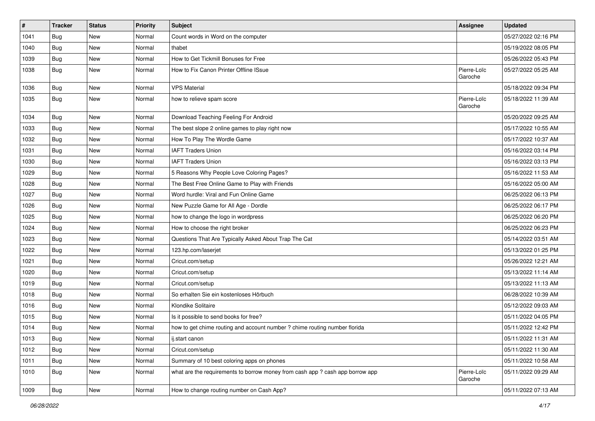| $\pmb{\#}$ | <b>Tracker</b> | <b>Status</b> | <b>Priority</b> | Subject                                                                       | <b>Assignee</b>        | <b>Updated</b>      |
|------------|----------------|---------------|-----------------|-------------------------------------------------------------------------------|------------------------|---------------------|
| 1041       | <b>Bug</b>     | <b>New</b>    | Normal          | Count words in Word on the computer                                           |                        | 05/27/2022 02:16 PM |
| 1040       | <b>Bug</b>     | <b>New</b>    | Normal          | thabet                                                                        |                        | 05/19/2022 08:05 PM |
| 1039       | <b>Bug</b>     | <b>New</b>    | Normal          | How to Get Tickmill Bonuses for Free                                          |                        | 05/26/2022 05:43 PM |
| 1038       | <b>Bug</b>     | <b>New</b>    | Normal          | How to Fix Canon Printer Offline ISsue                                        | Pierre-Loïc<br>Garoche | 05/27/2022 05:25 AM |
| 1036       | <b>Bug</b>     | <b>New</b>    | Normal          | <b>VPS Material</b>                                                           |                        | 05/18/2022 09:34 PM |
| 1035       | <b>Bug</b>     | <b>New</b>    | Normal          | how to relieve spam score                                                     | Pierre-Loïc<br>Garoche | 05/18/2022 11:39 AM |
| 1034       | Bug            | <b>New</b>    | Normal          | Download Teaching Feeling For Android                                         |                        | 05/20/2022 09:25 AM |
| 1033       | <b>Bug</b>     | <b>New</b>    | Normal          | The best slope 2 online games to play right now                               |                        | 05/17/2022 10:55 AM |
| 1032       | <b>Bug</b>     | <b>New</b>    | Normal          | How To Play The Wordle Game                                                   |                        | 05/17/2022 10:37 AM |
| 1031       | <b>Bug</b>     | <b>New</b>    | Normal          | <b>IAFT Traders Union</b>                                                     |                        | 05/16/2022 03:14 PM |
| 1030       | Bug            | <b>New</b>    | Normal          | <b>IAFT Traders Union</b>                                                     |                        | 05/16/2022 03:13 PM |
| 1029       | <b>Bug</b>     | <b>New</b>    | Normal          | 5 Reasons Why People Love Coloring Pages?                                     |                        | 05/16/2022 11:53 AM |
| 1028       | <b>Bug</b>     | <b>New</b>    | Normal          | The Best Free Online Game to Play with Friends                                |                        | 05/16/2022 05:00 AM |
| 1027       | <b>Bug</b>     | <b>New</b>    | Normal          | Word hurdle: Viral and Fun Online Game                                        |                        | 06/25/2022 06:13 PM |
| 1026       | <b>Bug</b>     | <b>New</b>    | Normal          | New Puzzle Game for All Age - Dordle                                          |                        | 06/25/2022 06:17 PM |
| 1025       | Bug            | <b>New</b>    | Normal          | how to change the logo in wordpress                                           |                        | 06/25/2022 06:20 PM |
| 1024       | <b>Bug</b>     | <b>New</b>    | Normal          | How to choose the right broker                                                |                        | 06/25/2022 06:23 PM |
| 1023       | <b>Bug</b>     | <b>New</b>    | Normal          | Questions That Are Typically Asked About Trap The Cat                         |                        | 05/14/2022 03:51 AM |
| 1022       | <b>Bug</b>     | New           | Normal          | 123.hp.com/laserjet                                                           |                        | 05/13/2022 01:25 PM |
| 1021       | <b>Bug</b>     | <b>New</b>    | Normal          | Cricut.com/setup                                                              |                        | 05/26/2022 12:21 AM |
| 1020       | <b>Bug</b>     | <b>New</b>    | Normal          | Cricut.com/setup                                                              |                        | 05/13/2022 11:14 AM |
| 1019       | <b>Bug</b>     | <b>New</b>    | Normal          | Cricut.com/setup                                                              |                        | 05/13/2022 11:13 AM |
| 1018       | <b>Bug</b>     | <b>New</b>    | Normal          | So erhalten Sie ein kostenloses Hörbuch                                       |                        | 06/28/2022 10:39 AM |
| 1016       | Bug            | <b>New</b>    | Normal          | Klondike Solitaire                                                            |                        | 05/12/2022 09:03 AM |
| 1015       | <b>Bug</b>     | <b>New</b>    | Normal          | Is it possible to send books for free?                                        |                        | 05/11/2022 04:05 PM |
| 1014       | <b>Bug</b>     | <b>New</b>    | Normal          | how to get chime routing and account number ? chime routing number florida    |                        | 05/11/2022 12:42 PM |
| 1013       | Bug            | New           | Normal          | ij.start canon                                                                |                        | 05/11/2022 11:31 AM |
| 1012       | <b>Bug</b>     | New           | Normal          | Cricut.com/setup                                                              |                        | 05/11/2022 11:30 AM |
| 1011       | Bug            | New           | Normal          | Summary of 10 best coloring apps on phones                                    |                        | 05/11/2022 10:58 AM |
| 1010       | <b>Bug</b>     | New           | Normal          | what are the requirements to borrow money from cash app ? cash app borrow app | Pierre-Loïc<br>Garoche | 05/11/2022 09:29 AM |
| 1009       | <b>Bug</b>     | New           | Normal          | How to change routing number on Cash App?                                     |                        | 05/11/2022 07:13 AM |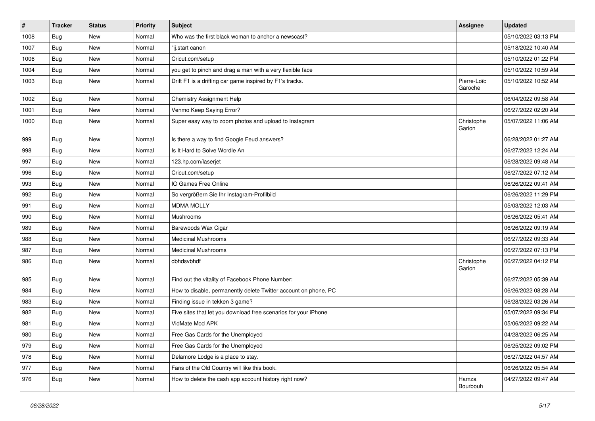| $\pmb{\#}$ | <b>Tracker</b> | <b>Status</b> | <b>Priority</b> | Subject                                                         | <b>Assignee</b>        | <b>Updated</b>      |
|------------|----------------|---------------|-----------------|-----------------------------------------------------------------|------------------------|---------------------|
| 1008       | Bug            | <b>New</b>    | Normal          | Who was the first black woman to anchor a newscast?             |                        | 05/10/2022 03:13 PM |
| 1007       | <b>Bug</b>     | <b>New</b>    | Normal          | "ij.start canon                                                 |                        | 05/18/2022 10:40 AM |
| 1006       | <b>Bug</b>     | <b>New</b>    | Normal          | Cricut.com/setup                                                |                        | 05/10/2022 01:22 PM |
| 1004       | <b>Bug</b>     | <b>New</b>    | Normal          | you get to pinch and drag a man with a very flexible face       |                        | 05/10/2022 10:59 AM |
| 1003       | <b>Bug</b>     | <b>New</b>    | Normal          | Drift F1 is a drifting car game inspired by F1's tracks.        | Pierre-Loïc<br>Garoche | 05/10/2022 10:52 AM |
| 1002       | <b>Bug</b>     | <b>New</b>    | Normal          | <b>Chemistry Assignment Help</b>                                |                        | 06/04/2022 09:58 AM |
| 1001       | Bug            | <b>New</b>    | Normal          | Venmo Keep Saying Error?                                        |                        | 06/27/2022 02:20 AM |
| 1000       | <b>Bug</b>     | <b>New</b>    | Normal          | Super easy way to zoom photos and upload to Instagram           | Christophe<br>Garion   | 05/07/2022 11:06 AM |
| 999        | <b>Bug</b>     | New           | Normal          | Is there a way to find Google Feud answers?                     |                        | 06/28/2022 01:27 AM |
| 998        | <b>Bug</b>     | <b>New</b>    | Normal          | Is It Hard to Solve Wordle An                                   |                        | 06/27/2022 12:24 AM |
| 997        | <b>Bug</b>     | <b>New</b>    | Normal          | 123.hp.com/laserjet                                             |                        | 06/28/2022 09:48 AM |
| 996        | <b>Bug</b>     | <b>New</b>    | Normal          | Cricut.com/setup                                                |                        | 06/27/2022 07:12 AM |
| 993        | Bug            | <b>New</b>    | Normal          | IO Games Free Online                                            |                        | 06/26/2022 09:41 AM |
| 992        | <b>Bug</b>     | <b>New</b>    | Normal          | So vergrößern Sie Ihr Instagram-Profilbild                      |                        | 06/26/2022 11:29 PM |
| 991        | <b>Bug</b>     | <b>New</b>    | Normal          | <b>MDMA MOLLY</b>                                               |                        | 05/03/2022 12:03 AM |
| 990        | <b>Bug</b>     | <b>New</b>    | Normal          | Mushrooms                                                       |                        | 06/26/2022 05:41 AM |
| 989        | Bug            | <b>New</b>    | Normal          | Barewoods Wax Cigar                                             |                        | 06/26/2022 09:19 AM |
| 988        | Bug            | <b>New</b>    | Normal          | <b>Medicinal Mushrooms</b>                                      |                        | 06/27/2022 09:33 AM |
| 987        | <b>Bug</b>     | <b>New</b>    | Normal          | <b>Medicinal Mushrooms</b>                                      |                        | 06/27/2022 07:13 PM |
| 986        | <b>Bug</b>     | <b>New</b>    | Normal          | dbhdsvbhdf                                                      | Christophe<br>Garion   | 06/27/2022 04:12 PM |
| 985        | Bug            | <b>New</b>    | Normal          | Find out the vitality of Facebook Phone Number:                 |                        | 06/27/2022 05:39 AM |
| 984        | <b>Bug</b>     | <b>New</b>    | Normal          | How to disable, permanently delete Twitter account on phone, PC |                        | 06/26/2022 08:28 AM |
| 983        | <b>Bug</b>     | <b>New</b>    | Normal          | Finding issue in tekken 3 game?                                 |                        | 06/28/2022 03:26 AM |
| 982        | Bug            | <b>New</b>    | Normal          | Five sites that let you download free scenarios for your iPhone |                        | 05/07/2022 09:34 PM |
| 981        | Bug            | <b>New</b>    | Normal          | VidMate Mod APK                                                 |                        | 05/06/2022 09:22 AM |
| 980        | Bug            | New           | Normal          | Free Gas Cards for the Unemployed                               |                        | 04/28/2022 06:25 AM |
| 979        | <b>Bug</b>     | New           | Normal          | Free Gas Cards for the Unemployed                               |                        | 06/25/2022 09:02 PM |
| 978        | <b>Bug</b>     | New           | Normal          | Delamore Lodge is a place to stay.                              |                        | 06/27/2022 04:57 AM |
| 977        | <b>Bug</b>     | New           | Normal          | Fans of the Old Country will like this book.                    |                        | 06/26/2022 05:54 AM |
| 976        | <b>Bug</b>     | New           | Normal          | How to delete the cash app account history right now?           | Hamza<br>Bourbouh      | 04/27/2022 09:47 AM |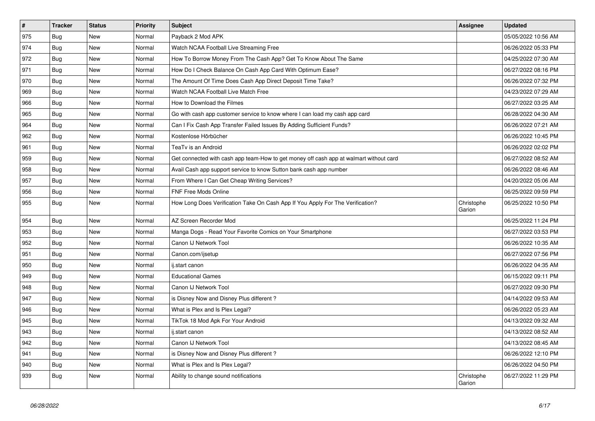| $\vert$ # | <b>Tracker</b> | <b>Status</b> | <b>Priority</b> | <b>Subject</b>                                                                         | Assignee             | <b>Updated</b>      |
|-----------|----------------|---------------|-----------------|----------------------------------------------------------------------------------------|----------------------|---------------------|
| 975       | <b>Bug</b>     | <b>New</b>    | Normal          | Payback 2 Mod APK                                                                      |                      | 05/05/2022 10:56 AM |
| 974       | Bug            | <b>New</b>    | Normal          | Watch NCAA Football Live Streaming Free                                                |                      | 06/26/2022 05:33 PM |
| 972       | <b>Bug</b>     | <b>New</b>    | Normal          | How To Borrow Money From The Cash App? Get To Know About The Same                      |                      | 04/25/2022 07:30 AM |
| 971       | <b>Bug</b>     | <b>New</b>    | Normal          | How Do I Check Balance On Cash App Card With Optimum Ease?                             |                      | 06/27/2022 08:16 PM |
| 970       | Bug            | <b>New</b>    | Normal          | The Amount Of Time Does Cash App Direct Deposit Time Take?                             |                      | 06/26/2022 07:32 PM |
| 969       | Bug            | <b>New</b>    | Normal          | Watch NCAA Football Live Match Free                                                    |                      | 04/23/2022 07:29 AM |
| 966       | Bug            | <b>New</b>    | Normal          | How to Download the Filmes                                                             |                      | 06/27/2022 03:25 AM |
| 965       | Bug            | New           | Normal          | Go with cash app customer service to know where I can load my cash app card            |                      | 06/28/2022 04:30 AM |
| 964       | Bug            | <b>New</b>    | Normal          | Can I Fix Cash App Transfer Failed Issues By Adding Sufficient Funds?                  |                      | 06/26/2022 07:21 AM |
| 962       | <b>Bug</b>     | <b>New</b>    | Normal          | Kostenlose Hörbücher                                                                   |                      | 06/26/2022 10:45 PM |
| 961       | Bug            | <b>New</b>    | Normal          | TeaTv is an Android                                                                    |                      | 06/26/2022 02:02 PM |
| 959       | <b>Bug</b>     | <b>New</b>    | Normal          | Get connected with cash app team-How to get money off cash app at walmart without card |                      | 06/27/2022 08:52 AM |
| 958       | <b>Bug</b>     | <b>New</b>    | Normal          | Avail Cash app support service to know Sutton bank cash app number                     |                      | 06/26/2022 08:46 AM |
| 957       | Bug            | <b>New</b>    | Normal          | From Where I Can Get Cheap Writing Services?                                           |                      | 04/20/2022 05:06 AM |
| 956       | <b>Bug</b>     | <b>New</b>    | Normal          | <b>FNF Free Mods Online</b>                                                            |                      | 06/25/2022 09:59 PM |
| 955       | <b>Bug</b>     | New           | Normal          | How Long Does Verification Take On Cash App If You Apply For The Verification?         | Christophe<br>Garion | 06/25/2022 10:50 PM |
| 954       | Bug            | <b>New</b>    | Normal          | AZ Screen Recorder Mod                                                                 |                      | 06/25/2022 11:24 PM |
| 953       | Bug            | <b>New</b>    | Normal          | Manga Dogs - Read Your Favorite Comics on Your Smartphone                              |                      | 06/27/2022 03:53 PM |
| 952       | <b>Bug</b>     | <b>New</b>    | Normal          | Canon IJ Network Tool                                                                  |                      | 06/26/2022 10:35 AM |
| 951       | Bug            | New           | Normal          | Canon.com/ijsetup                                                                      |                      | 06/27/2022 07:56 PM |
| 950       | <b>Bug</b>     | New           | Normal          | ij.start canon                                                                         |                      | 06/26/2022 04:35 AM |
| 949       | Bug            | <b>New</b>    | Normal          | <b>Educational Games</b>                                                               |                      | 06/15/2022 09:11 PM |
| 948       | Bug            | <b>New</b>    | Normal          | Canon IJ Network Tool                                                                  |                      | 06/27/2022 09:30 PM |
| 947       | Bug            | New           | Normal          | is Disney Now and Disney Plus different?                                               |                      | 04/14/2022 09:53 AM |
| 946       | Bug            | <b>New</b>    | Normal          | What is Plex and Is Plex Legal?                                                        |                      | 06/26/2022 05:23 AM |
| 945       | <b>Bug</b>     | New           | Normal          | TikTok 18 Mod Apk For Your Android                                                     |                      | 04/13/2022 09:32 AM |
| 943       | Bug            | <b>New</b>    | Normal          | ij.start canon                                                                         |                      | 04/13/2022 08:52 AM |
| 942       | Bug            | <b>New</b>    | Normal          | Canon IJ Network Tool                                                                  |                      | 04/13/2022 08:45 AM |
| 941       | Bug            | <b>New</b>    | Normal          | is Disney Now and Disney Plus different?                                               |                      | 06/26/2022 12:10 PM |
| 940       | Bug            | New           | Normal          | What is Plex and Is Plex Legal?                                                        |                      | 06/26/2022 04:50 PM |
| 939       | <b>Bug</b>     | <b>New</b>    | Normal          | Ability to change sound notifications                                                  | Christophe<br>Garion | 06/27/2022 11:29 PM |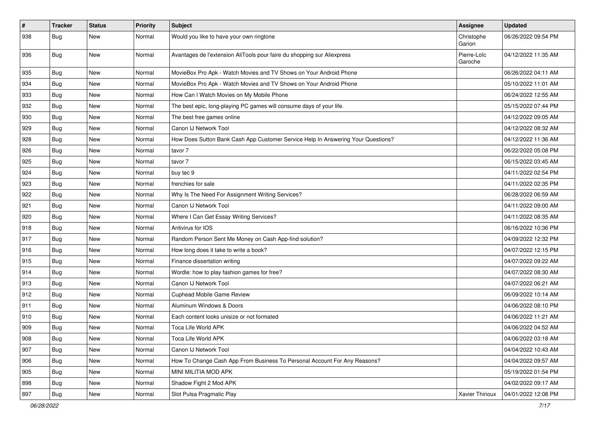| #   | <b>Tracker</b> | <b>Status</b> | <b>Priority</b> | Subject                                                                          | <b>Assignee</b>        | <b>Updated</b>      |
|-----|----------------|---------------|-----------------|----------------------------------------------------------------------------------|------------------------|---------------------|
| 938 | <b>Bug</b>     | <b>New</b>    | Normal          | Would you like to have your own ringtone                                         | Christophe<br>Garion   | 06/26/2022 09:54 PM |
| 936 | Bug            | <b>New</b>    | Normal          | Avantages de l'extension AliTools pour faire du shopping sur Aliexpress          | Pierre-Loïc<br>Garoche | 04/12/2022 11:35 AM |
| 935 | Bug            | <b>New</b>    | Normal          | MovieBox Pro Apk - Watch Movies and TV Shows on Your Android Phone               |                        | 06/26/2022 04:11 AM |
| 934 | Bug            | New           | Normal          | MovieBox Pro Apk - Watch Movies and TV Shows on Your Android Phone               |                        | 05/10/2022 11:01 AM |
| 933 | Bug            | <b>New</b>    | Normal          | How Can I Watch Movies on My Mobile Phone                                        |                        | 06/24/2022 12:55 AM |
| 932 | Bug            | <b>New</b>    | Normal          | The best epic, long-playing PC games will consume days of your life.             |                        | 05/15/2022 07:44 PM |
| 930 | Bug            | <b>New</b>    | Normal          | The best free games online                                                       |                        | 04/12/2022 09:05 AM |
| 929 | Bug            | <b>New</b>    | Normal          | Canon IJ Network Tool                                                            |                        | 04/12/2022 08:32 AM |
| 928 | Bug            | <b>New</b>    | Normal          | How Does Sutton Bank Cash App Customer Service Help In Answering Your Questions? |                        | 04/12/2022 11:36 AM |
| 926 | Bug            | New           | Normal          | tavor 7                                                                          |                        | 06/22/2022 05:08 PM |
| 925 | Bug            | <b>New</b>    | Normal          | tavor 7                                                                          |                        | 06/15/2022 03:45 AM |
| 924 | <b>Bug</b>     | <b>New</b>    | Normal          | buy tec 9                                                                        |                        | 04/11/2022 02:54 PM |
| 923 | Bug            | <b>New</b>    | Normal          | frenchies for sale                                                               |                        | 04/11/2022 02:35 PM |
| 922 | Bug            | New           | Normal          | Why Is The Need For Assignment Writing Services?                                 |                        | 06/28/2022 06:59 AM |
| 921 | Bug            | <b>New</b>    | Normal          | Canon IJ Network Tool                                                            |                        | 04/11/2022 09:00 AM |
| 920 | Bug            | <b>New</b>    | Normal          | Where I Can Get Essay Writing Services?                                          |                        | 04/11/2022 08:35 AM |
| 918 | Bug            | New           | Normal          | Antivirus for IOS                                                                |                        | 06/16/2022 10:36 PM |
| 917 | Bug            | <b>New</b>    | Normal          | Random Person Sent Me Money on Cash App-find solution?                           |                        | 04/09/2022 12:32 PM |
| 916 | Bug            | New           | Normal          | How long does it take to write a book?                                           |                        | 04/07/2022 12:15 PM |
| 915 | Bug            | <b>New</b>    | Normal          | Finance dissertation writing                                                     |                        | 04/07/2022 09:22 AM |
| 914 | Bug            | <b>New</b>    | Normal          | Wordle: how to play fashion games for free?                                      |                        | 04/07/2022 08:30 AM |
| 913 | Bug            | New           | Normal          | Canon IJ Network Tool                                                            |                        | 04/07/2022 06:21 AM |
| 912 | Bug            | New           | Normal          | Cuphead Mobile Game Review                                                       |                        | 06/09/2022 10:14 AM |
| 911 | <b>Bug</b>     | <b>New</b>    | Normal          | Aluminum Windows & Doors                                                         |                        | 04/06/2022 08:10 PM |
| 910 | <b>Bug</b>     | <b>New</b>    | Normal          | Each content looks unisize or not formated                                       |                        | 04/06/2022 11:21 AM |
| 909 | <b>Bug</b>     | New           | Normal          | Toca Life World APK                                                              |                        | 04/06/2022 04:52 AM |
| 908 | <b>Bug</b>     | New           | Normal          | Toca Life World APK                                                              |                        | 04/06/2022 03:18 AM |
| 907 | <b>Bug</b>     | New           | Normal          | Canon IJ Network Tool                                                            |                        | 04/04/2022 10:43 AM |
| 906 | Bug            | New           | Normal          | How To Change Cash App From Business To Personal Account For Any Reasons?        |                        | 04/04/2022 09:57 AM |
| 905 | <b>Bug</b>     | New           | Normal          | MINI MILITIA MOD APK                                                             |                        | 05/19/2022 01:54 PM |
| 898 | Bug            | New           | Normal          | Shadow Fight 2 Mod APK                                                           |                        | 04/02/2022 09:17 AM |
| 897 | <b>Bug</b>     | New           | Normal          | Slot Pulsa Pragmatic Play                                                        | Xavier Thirioux        | 04/01/2022 12:08 PM |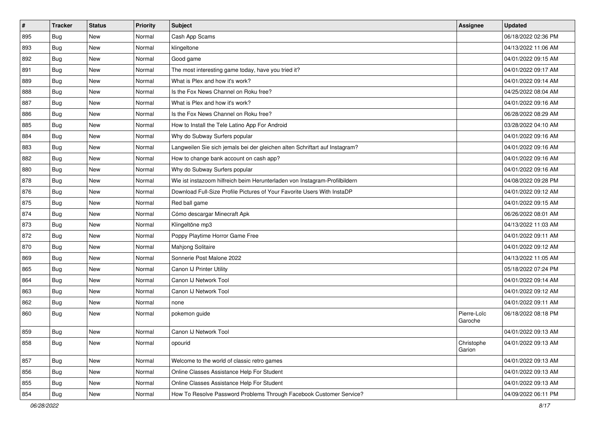| #   | <b>Tracker</b> | <b>Status</b> | <b>Priority</b> | Subject                                                                     | <b>Assignee</b>        | <b>Updated</b>      |
|-----|----------------|---------------|-----------------|-----------------------------------------------------------------------------|------------------------|---------------------|
| 895 | Bug            | New           | Normal          | Cash App Scams                                                              |                        | 06/18/2022 02:36 PM |
| 893 | <b>Bug</b>     | <b>New</b>    | Normal          | klingeltone                                                                 |                        | 04/13/2022 11:06 AM |
| 892 | <b>Bug</b>     | New           | Normal          | Good game                                                                   |                        | 04/01/2022 09:15 AM |
| 891 | <b>Bug</b>     | <b>New</b>    | Normal          | The most interesting game today, have you tried it?                         |                        | 04/01/2022 09:17 AM |
| 889 | Bug            | <b>New</b>    | Normal          | What is Plex and how it's work?                                             |                        | 04/01/2022 09:14 AM |
| 888 | <b>Bug</b>     | <b>New</b>    | Normal          | Is the Fox News Channel on Roku free?                                       |                        | 04/25/2022 08:04 AM |
| 887 | <b>Bug</b>     | <b>New</b>    | Normal          | What is Plex and how it's work?                                             |                        | 04/01/2022 09:16 AM |
| 886 | <b>Bug</b>     | <b>New</b>    | Normal          | Is the Fox News Channel on Roku free?                                       |                        | 06/28/2022 08:29 AM |
| 885 | <b>Bug</b>     | <b>New</b>    | Normal          | How to Install the Tele Latino App For Android                              |                        | 03/28/2022 04:10 AM |
| 884 | Bug            | <b>New</b>    | Normal          | Why do Subway Surfers popular                                               |                        | 04/01/2022 09:16 AM |
| 883 | <b>Bug</b>     | <b>New</b>    | Normal          | Langweilen Sie sich jemals bei der gleichen alten Schriftart auf Instagram? |                        | 04/01/2022 09:16 AM |
| 882 | <b>Bug</b>     | <b>New</b>    | Normal          | How to change bank account on cash app?                                     |                        | 04/01/2022 09:16 AM |
| 880 | Bug            | New           | Normal          | Why do Subway Surfers popular                                               |                        | 04/01/2022 09:16 AM |
| 878 | Bug            | New           | Normal          | Wie ist instazoom hilfreich beim Herunterladen von Instagram-Profilbildern  |                        | 04/08/2022 09:28 PM |
| 876 | Bug            | <b>New</b>    | Normal          | Download Full-Size Profile Pictures of Your Favorite Users With InstaDP     |                        | 04/01/2022 09:12 AM |
| 875 | <b>Bug</b>     | New           | Normal          | Red ball game                                                               |                        | 04/01/2022 09:15 AM |
| 874 | <b>Bug</b>     | <b>New</b>    | Normal          | Cómo descargar Minecraft Apk                                                |                        | 06/26/2022 08:01 AM |
| 873 | Bug            | <b>New</b>    | Normal          | Klingeltöne mp3                                                             |                        | 04/13/2022 11:03 AM |
| 872 | <b>Bug</b>     | New           | Normal          | Poppy Playtime Horror Game Free                                             |                        | 04/01/2022 09:11 AM |
| 870 | Bug            | <b>New</b>    | Normal          | Mahjong Solitaire                                                           |                        | 04/01/2022 09:12 AM |
| 869 | <b>Bug</b>     | <b>New</b>    | Normal          | Sonnerie Post Malone 2022                                                   |                        | 04/13/2022 11:05 AM |
| 865 | Bug            | <b>New</b>    | Normal          | Canon IJ Printer Utility                                                    |                        | 05/18/2022 07:24 PM |
| 864 | Bug            | <b>New</b>    | Normal          | Canon IJ Network Tool                                                       |                        | 04/01/2022 09:14 AM |
| 863 | <b>Bug</b>     | New           | Normal          | Canon IJ Network Tool                                                       |                        | 04/01/2022 09:12 AM |
| 862 | Bug            | <b>New</b>    | Normal          | none                                                                        |                        | 04/01/2022 09:11 AM |
| 860 | Bug            | New           | Normal          | pokemon guide                                                               | Pierre-Loïc<br>Garoche | 06/18/2022 08:18 PM |
| 859 | <b>Bug</b>     | <b>New</b>    | Normal          | Canon IJ Network Tool                                                       |                        | 04/01/2022 09:13 AM |
| 858 | <b>Bug</b>     | New           | Normal          | opourid                                                                     | Christophe<br>Garion   | 04/01/2022 09:13 AM |
| 857 | Bug            | New           | Normal          | Welcome to the world of classic retro games                                 |                        | 04/01/2022 09:13 AM |
| 856 | <b>Bug</b>     | New           | Normal          | Online Classes Assistance Help For Student                                  |                        | 04/01/2022 09:13 AM |
| 855 | <b>Bug</b>     | New           | Normal          | Online Classes Assistance Help For Student                                  |                        | 04/01/2022 09:13 AM |
| 854 | <b>Bug</b>     | New           | Normal          | How To Resolve Password Problems Through Facebook Customer Service?         |                        | 04/09/2022 06:11 PM |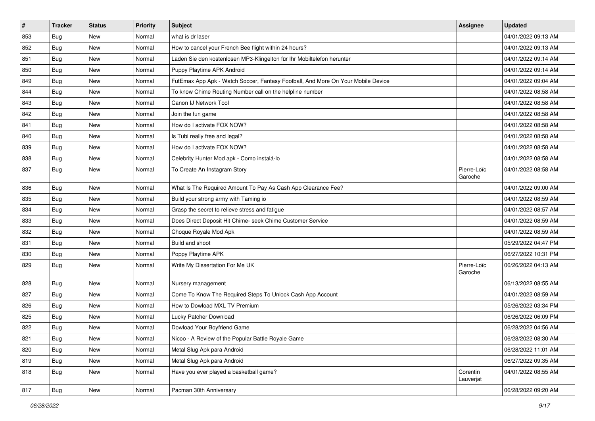| $\vert$ # | <b>Tracker</b> | <b>Status</b> | <b>Priority</b> | Subject                                                                          | Assignee               | <b>Updated</b>      |
|-----------|----------------|---------------|-----------------|----------------------------------------------------------------------------------|------------------------|---------------------|
| 853       | Bug            | New           | Normal          | what is dr laser                                                                 |                        | 04/01/2022 09:13 AM |
| 852       | <b>Bug</b>     | New           | Normal          | How to cancel your French Bee flight within 24 hours?                            |                        | 04/01/2022 09:13 AM |
| 851       | Bug            | New           | Normal          | Laden Sie den kostenlosen MP3-Klingelton für Ihr Mobiltelefon herunter           |                        | 04/01/2022 09:14 AM |
| 850       | Bug            | New           | Normal          | Puppy Playtime APK Android                                                       |                        | 04/01/2022 09:14 AM |
| 849       | Bug            | <b>New</b>    | Normal          | FutEmax App Apk - Watch Soccer, Fantasy Football, And More On Your Mobile Device |                        | 04/01/2022 09:04 AM |
| 844       | Bug            | New           | Normal          | To know Chime Routing Number call on the helpline number                         |                        | 04/01/2022 08:58 AM |
| 843       | Bug            | New           | Normal          | Canon IJ Network Tool                                                            |                        | 04/01/2022 08:58 AM |
| 842       | Bug            | New           | Normal          | Join the fun game                                                                |                        | 04/01/2022 08:58 AM |
| 841       | Bug            | New           | Normal          | How do I activate FOX NOW?                                                       |                        | 04/01/2022 08:58 AM |
| 840       | Bug            | <b>New</b>    | Normal          | Is Tubi really free and legal?                                                   |                        | 04/01/2022 08:58 AM |
| 839       | <b>Bug</b>     | New           | Normal          | How do I activate FOX NOW?                                                       |                        | 04/01/2022 08:58 AM |
| 838       | Bug            | New           | Normal          | Celebrity Hunter Mod apk - Como instalá-lo                                       |                        | 04/01/2022 08:58 AM |
| 837       | <b>Bug</b>     | <b>New</b>    | Normal          | To Create An Instagram Story                                                     | Pierre-Loïc<br>Garoche | 04/01/2022 08:58 AM |
| 836       | Bug            | <b>New</b>    | Normal          | What Is The Required Amount To Pay As Cash App Clearance Fee?                    |                        | 04/01/2022 09:00 AM |
| 835       | Bug            | New           | Normal          | Build your strong army with Taming io                                            |                        | 04/01/2022 08:59 AM |
| 834       | <b>Bug</b>     | New           | Normal          | Grasp the secret to relieve stress and fatigue                                   |                        | 04/01/2022 08:57 AM |
| 833       | Bug            | <b>New</b>    | Normal          | Does Direct Deposit Hit Chime- seek Chime Customer Service                       |                        | 04/01/2022 08:59 AM |
| 832       | <b>Bug</b>     | New           | Normal          | Choque Royale Mod Apk                                                            |                        | 04/01/2022 08:59 AM |
| 831       | Bug            | New           | Normal          | Build and shoot                                                                  |                        | 05/29/2022 04:47 PM |
| 830       | Bug            | <b>New</b>    | Normal          | Poppy Playtime APK                                                               |                        | 06/27/2022 10:31 PM |
| 829       | <b>Bug</b>     | New           | Normal          | Write My Dissertation For Me UK                                                  | Pierre-Loïc<br>Garoche | 06/26/2022 04:13 AM |
| 828       | Bug            | <b>New</b>    | Normal          | Nursery management                                                               |                        | 06/13/2022 08:55 AM |
| 827       | <b>Bug</b>     | New           | Normal          | Come To Know The Required Steps To Unlock Cash App Account                       |                        | 04/01/2022 08:59 AM |
| 826       | Bug            | <b>New</b>    | Normal          | How to Dowload MXL TV Premium                                                    |                        | 05/26/2022 03:34 PM |
| 825       | <b>Bug</b>     | New           | Normal          | Lucky Patcher Download                                                           |                        | 06/26/2022 06:09 PM |
| 822       | <b>Bug</b>     | New           | Normal          | Dowload Your Boyfriend Game                                                      |                        | 06/28/2022 04:56 AM |
| 821       | Bug            | New           | Normal          | Nicoo - A Review of the Popular Battle Royale Game                               |                        | 06/28/2022 08:30 AM |
| 820       | Bug            | New           | Normal          | Metal Slug Apk para Android                                                      |                        | 06/28/2022 11:01 AM |
| 819       | <b>Bug</b>     | <b>New</b>    | Normal          | Metal Slug Apk para Android                                                      |                        | 06/27/2022 09:35 AM |
| 818       | <b>Bug</b>     | New           | Normal          | Have you ever played a basketball game?                                          | Corentin<br>Lauverjat  | 04/01/2022 08:55 AM |
| 817       | <b>Bug</b>     | New           | Normal          | Pacman 30th Anniversary                                                          |                        | 06/28/2022 09:20 AM |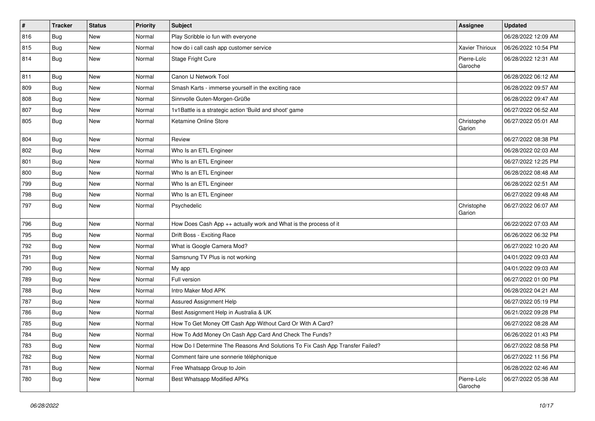| #   | <b>Tracker</b> | <b>Status</b> | <b>Priority</b> | Subject                                                                       | <b>Assignee</b>        | <b>Updated</b>      |
|-----|----------------|---------------|-----------------|-------------------------------------------------------------------------------|------------------------|---------------------|
| 816 | Bug            | New           | Normal          | Play Scribble io fun with everyone                                            |                        | 06/28/2022 12:09 AM |
| 815 | <b>Bug</b>     | <b>New</b>    | Normal          | how do i call cash app customer service                                       | Xavier Thirioux        | 06/26/2022 10:54 PM |
| 814 | Bug            | New           | Normal          | Stage Fright Cure                                                             | Pierre-Loïc<br>Garoche | 06/28/2022 12:31 AM |
| 811 | Bug            | <b>New</b>    | Normal          | Canon IJ Network Tool                                                         |                        | 06/28/2022 06:12 AM |
| 809 | <b>Bug</b>     | New           | Normal          | Smash Karts - immerse yourself in the exciting race                           |                        | 06/28/2022 09:57 AM |
| 808 | <b>Bug</b>     | New           | Normal          | Sinnvolle Guten-Morgen-Grüße                                                  |                        | 06/28/2022 09:47 AM |
| 807 | Bug            | New           | Normal          | 1v1Battle is a strategic action 'Build and shoot' game                        |                        | 06/27/2022 06:52 AM |
| 805 | <b>Bug</b>     | New           | Normal          | Ketamine Online Store                                                         | Christophe<br>Garion   | 06/27/2022 05:01 AM |
| 804 | Bug            | New           | Normal          | Review                                                                        |                        | 06/27/2022 08:38 PM |
| 802 | <b>Bug</b>     | New           | Normal          | Who Is an ETL Engineer                                                        |                        | 06/28/2022 02:03 AM |
| 801 | Bug            | <b>New</b>    | Normal          | Who Is an ETL Engineer                                                        |                        | 06/27/2022 12:25 PM |
| 800 | <b>Bug</b>     | New           | Normal          | Who Is an ETL Engineer                                                        |                        | 06/28/2022 08:48 AM |
| 799 | <b>Bug</b>     | New           | Normal          | Who Is an ETL Engineer                                                        |                        | 06/28/2022 02:51 AM |
| 798 | Bug            | New           | Normal          | Who Is an ETL Engineer                                                        |                        | 06/27/2022 09:48 AM |
| 797 | Bug            | New           | Normal          | Psychedelic                                                                   | Christophe<br>Garion   | 06/27/2022 06:07 AM |
| 796 | <b>Bug</b>     | New           | Normal          | How Does Cash App ++ actually work and What is the process of it              |                        | 06/22/2022 07:03 AM |
| 795 | Bug            | New           | Normal          | Drift Boss - Exciting Race                                                    |                        | 06/26/2022 06:32 PM |
| 792 | Bug            | New           | Normal          | What is Google Camera Mod?                                                    |                        | 06/27/2022 10:20 AM |
| 791 | <b>Bug</b>     | New           | Normal          | Samsnung TV Plus is not working                                               |                        | 04/01/2022 09:03 AM |
| 790 | <b>Bug</b>     | New           | Normal          | My app                                                                        |                        | 04/01/2022 09:03 AM |
| 789 | Bug            | New           | Normal          | Full version                                                                  |                        | 06/27/2022 01:00 PM |
| 788 | <b>Bug</b>     | New           | Normal          | Intro Maker Mod APK                                                           |                        | 06/28/2022 04:21 AM |
| 787 | Bug            | New           | Normal          | Assured Assignment Help                                                       |                        | 06/27/2022 05:19 PM |
| 786 | Bug            | New           | Normal          | Best Assignment Help in Australia & UK                                        |                        | 06/21/2022 09:28 PM |
| 785 | <b>Bug</b>     | New           | Normal          | How To Get Money Off Cash App Without Card Or With A Card?                    |                        | 06/27/2022 08:28 AM |
| 784 | Bug            | New           | Normal          | How To Add Money On Cash App Card And Check The Funds?                        |                        | 06/26/2022 01:43 PM |
| 783 | <b>Bug</b>     | New           | Normal          | How Do I Determine The Reasons And Solutions To Fix Cash App Transfer Failed? |                        | 06/27/2022 08:58 PM |
| 782 | <b>Bug</b>     | New           | Normal          | Comment faire une sonnerie téléphonique                                       |                        | 06/27/2022 11:56 PM |
| 781 | <b>Bug</b>     | New           | Normal          | Free Whatsapp Group to Join                                                   |                        | 06/28/2022 02:46 AM |
| 780 | <b>Bug</b>     | New           | Normal          | <b>Best Whatsapp Modified APKs</b>                                            | Pierre-Loïc<br>Garoche | 06/27/2022 05:38 AM |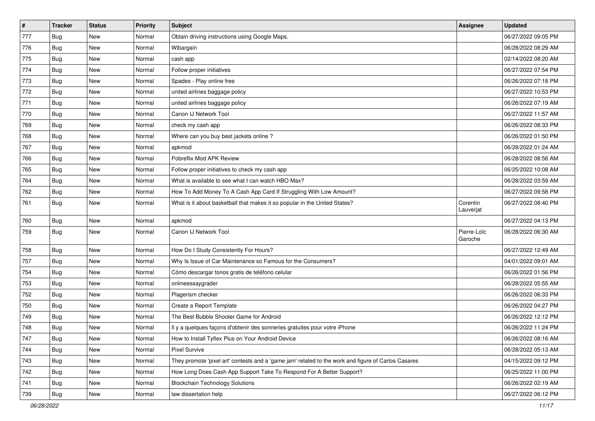| $\vert$ # | <b>Tracker</b> | <b>Status</b> | <b>Priority</b> | <b>Subject</b>                                                                                      | Assignee               | <b>Updated</b>      |
|-----------|----------------|---------------|-----------------|-----------------------------------------------------------------------------------------------------|------------------------|---------------------|
| 777       | Bug            | New           | Normal          | Obtain driving instructions using Google Maps.                                                      |                        | 06/27/2022 09:05 PM |
| 776       | <b>Bug</b>     | New           | Normal          | Wibargain                                                                                           |                        | 06/28/2022 08:29 AM |
| 775       | Bug            | New           | Normal          | cash app                                                                                            |                        | 02/14/2022 08:20 AM |
| 774       | Bug            | <b>New</b>    | Normal          | Follow proper initiatives                                                                           |                        | 06/27/2022 07:54 PM |
| 773       | <b>Bug</b>     | <b>New</b>    | Normal          | Spades - Play online free                                                                           |                        | 06/26/2022 07:18 PM |
| 772       | Bug            | New           | Normal          | united airlines baggage policy                                                                      |                        | 06/27/2022 10:53 PM |
| 771       | Bug            | New           | Normal          | united airlines baggage policy                                                                      |                        | 06/26/2022 07:19 AM |
| 770       | <b>Bug</b>     | New           | Normal          | Canon IJ Network Tool                                                                               |                        | 06/27/2022 11:57 AM |
| 769       | Bug            | New           | Normal          | check my cash app                                                                                   |                        | 06/26/2022 08:33 PM |
| 768       | Bug            | <b>New</b>    | Normal          | Where can you buy best jackets online?                                                              |                        | 06/26/2022 01:50 PM |
| 767       | <b>Bug</b>     | New           | Normal          | apkmod                                                                                              |                        | 06/28/2022 01:24 AM |
| 766       | Bug            | New           | Normal          | Pobreflix Mod APK Review                                                                            |                        | 06/28/2022 08:56 AM |
| 765       | Bug            | <b>New</b>    | Normal          | Follow proper initiatives to check my cash app                                                      |                        | 06/25/2022 10:08 AM |
| 764       | <b>Bug</b>     | New           | Normal          | What is available to see what I can watch HBO Max?                                                  |                        | 06/28/2022 03:59 AM |
| 762       | <b>Bug</b>     | New           | Normal          | How To Add Money To A Cash App Card If Struggling With Low Amount?                                  |                        | 06/27/2022 09:58 PM |
| 761       | <b>Bug</b>     | New           | Normal          | What is it about basketball that makes it so popular in the United States?                          | Corentin<br>Lauverjat  | 06/27/2022 08:40 PM |
| 760       | Bug            | <b>New</b>    | Normal          | apkmod                                                                                              |                        | 06/27/2022 04:13 PM |
| 759       | <b>Bug</b>     | New           | Normal          | Canon IJ Network Tool                                                                               | Pierre-Loïc<br>Garoche | 06/28/2022 06:30 AM |
| 758       | Bug            | <b>New</b>    | Normal          | How Do I Study Consistently For Hours?                                                              |                        | 06/27/2022 12:49 AM |
| 757       | Bug            | New           | Normal          | Why Is Issue of Car Maintenance so Famous for the Consumers?                                        |                        | 04/01/2022 09:01 AM |
| 754       | <b>Bug</b>     | <b>New</b>    | Normal          | Cómo descargar tonos gratis de teléfono celular                                                     |                        | 06/26/2022 01:56 PM |
| 753       | Bug            | New           | Normal          | onlineessaygrader                                                                                   |                        | 06/28/2022 05:55 AM |
| 752       | <b>Bug</b>     | New           | Normal          | Plagerism checker                                                                                   |                        | 06/26/2022 06:33 PM |
| 750       | Bug            | <b>New</b>    | Normal          | Create a Report Template                                                                            |                        | 06/26/2022 04:27 PM |
| 749       | <b>Bug</b>     | New           | Normal          | The Best Bubble Shooter Game for Android                                                            |                        | 06/26/2022 12:12 PM |
| 748       | <b>Bug</b>     | New           | Normal          | Il y a quelques façons d'obtenir des sonneries gratuites pour votre iPhone                          |                        | 06/26/2022 11:24 PM |
| 747       | Bug            | New           | Normal          | How to Install Tyflex Plus on Your Android Device                                                   |                        | 06/26/2022 08:16 AM |
| 744       | <b>Bug</b>     | New           | Normal          | <b>Pixel Survive</b>                                                                                |                        | 06/28/2022 05:13 AM |
| 743       | <b>Bug</b>     | <b>New</b>    | Normal          | They promote 'pixel art' contests and a 'game jam' related to the work and figure of Carlos Casares |                        | 04/15/2022 09:12 PM |
| 742       | Bug            | New           | Normal          | How Long Does Cash App Support Take To Respond For A Better Support?                                |                        | 06/25/2022 11:00 PM |
| 741       | Bug            | New           | Normal          | <b>Blockchain Technology Solutions</b>                                                              |                        | 06/26/2022 02:19 AM |
| 739       | <b>Bug</b>     | New           | Normal          | law dissertation help                                                                               |                        | 06/27/2022 06:12 PM |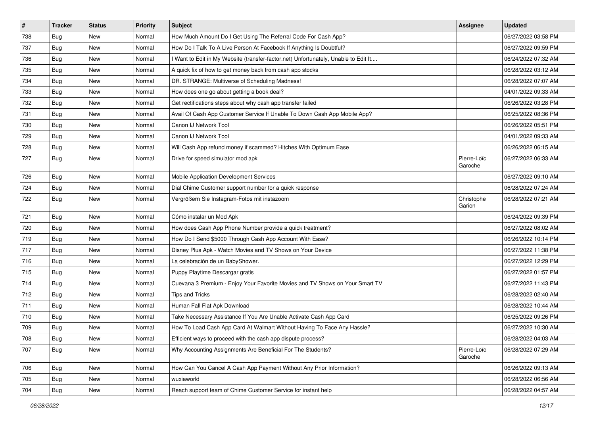| $\pmb{\#}$ | <b>Tracker</b> | <b>Status</b> | <b>Priority</b> | <b>Subject</b>                                                                      | <b>Assignee</b>        | <b>Updated</b>      |
|------------|----------------|---------------|-----------------|-------------------------------------------------------------------------------------|------------------------|---------------------|
| 738        | Bug            | New           | Normal          | How Much Amount Do I Get Using The Referral Code For Cash App?                      |                        | 06/27/2022 03:58 PM |
| 737        | <b>Bug</b>     | <b>New</b>    | Normal          | How Do I Talk To A Live Person At Facebook If Anything Is Doubtful?                 |                        | 06/27/2022 09:59 PM |
| 736        | Bug            | New           | Normal          | I Want to Edit in My Website (transfer-factor.net) Unfortunately, Unable to Edit It |                        | 06/24/2022 07:32 AM |
| 735        | Bug            | <b>New</b>    | Normal          | A quick fix of how to get money back from cash app stocks                           |                        | 06/28/2022 03:12 AM |
| 734        | <b>Bug</b>     | <b>New</b>    | Normal          | DR. STRANGE: Multiverse of Scheduling Madness!                                      |                        | 06/28/2022 07:07 AM |
| 733        | <b>Bug</b>     | <b>New</b>    | Normal          | How does one go about getting a book deal?                                          |                        | 04/01/2022 09:33 AM |
| 732        | <b>Bug</b>     | New           | Normal          | Get rectifications steps about why cash app transfer failed                         |                        | 06/26/2022 03:28 PM |
| 731        | <b>Bug</b>     | <b>New</b>    | Normal          | Avail Of Cash App Customer Service If Unable To Down Cash App Mobile App?           |                        | 06/25/2022 08:36 PM |
| 730        | Bug            | New           | Normal          | Canon IJ Network Tool                                                               |                        | 06/26/2022 05:51 PM |
| 729        | <b>Bug</b>     | <b>New</b>    | Normal          | Canon IJ Network Tool                                                               |                        | 04/01/2022 09:33 AM |
| 728        | <b>Bug</b>     | New           | Normal          | Will Cash App refund money if scammed? Hitches With Optimum Ease                    |                        | 06/26/2022 06:15 AM |
| 727        | <b>Bug</b>     | New           | Normal          | Drive for speed simulator mod apk                                                   | Pierre-Loïc<br>Garoche | 06/27/2022 06:33 AM |
| 726        | <b>Bug</b>     | New           | Normal          | Mobile Application Development Services                                             |                        | 06/27/2022 09:10 AM |
| 724        | <b>Bug</b>     | <b>New</b>    | Normal          | Dial Chime Customer support number for a quick response                             |                        | 06/28/2022 07:24 AM |
| 722        | <b>Bug</b>     | New           | Normal          | Vergrößern Sie Instagram-Fotos mit instazoom                                        | Christophe<br>Garion   | 06/28/2022 07:21 AM |
| 721        | Bug            | <b>New</b>    | Normal          | Cómo instalar un Mod Apk                                                            |                        | 06/24/2022 09:39 PM |
| 720        | Bug            | <b>New</b>    | Normal          | How does Cash App Phone Number provide a quick treatment?                           |                        | 06/27/2022 08:02 AM |
| 719        | Bug            | New           | Normal          | How Do I Send \$5000 Through Cash App Account With Ease?                            |                        | 06/26/2022 10:14 PM |
| 717        | <b>Bug</b>     | <b>New</b>    | Normal          | Disney Plus Apk - Watch Movies and TV Shows on Your Device                          |                        | 06/27/2022 11:38 PM |
| 716        | <b>Bug</b>     | New           | Normal          | La celebración de un BabyShower.                                                    |                        | 06/27/2022 12:29 PM |
| 715        | <b>Bug</b>     | <b>New</b>    | Normal          | Puppy Playtime Descargar gratis                                                     |                        | 06/27/2022 01:57 PM |
| 714        | Bug            | New           | Normal          | Cuevana 3 Premium - Enjoy Your Favorite Movies and TV Shows on Your Smart TV        |                        | 06/27/2022 11:43 PM |
| 712        | Bug            | <b>New</b>    | Normal          | <b>Tips and Tricks</b>                                                              |                        | 06/28/2022 02:40 AM |
| 711        | <b>Bug</b>     | <b>New</b>    | Normal          | Human Fall Flat Apk Download                                                        |                        | 06/28/2022 10:44 AM |
| 710        | <b>Bug</b>     | New           | Normal          | Take Necessary Assistance If You Are Unable Activate Cash App Card                  |                        | 06/25/2022 09:26 PM |
| 709        | Bug            | <b>New</b>    | Normal          | How To Load Cash App Card At Walmart Without Having To Face Any Hassle?             |                        | 06/27/2022 10:30 AM |
| 708        | Bug            | New           | Normal          | Efficient ways to proceed with the cash app dispute process?                        |                        | 06/28/2022 04:03 AM |
| 707        | <b>Bug</b>     | New           | Normal          | Why Accounting Assignments Are Beneficial For The Students?                         | Pierre-Loïc<br>Garoche | 06/28/2022 07:29 AM |
| 706        | <b>Bug</b>     | New           | Normal          | How Can You Cancel A Cash App Payment Without Any Prior Information?                |                        | 06/26/2022 09:13 AM |
| 705        | <b>Bug</b>     | New           | Normal          | wuxiaworld                                                                          |                        | 06/28/2022 06:56 AM |
| 704        | <b>Bug</b>     | New           | Normal          | Reach support team of Chime Customer Service for instant help                       |                        | 06/28/2022 04:57 AM |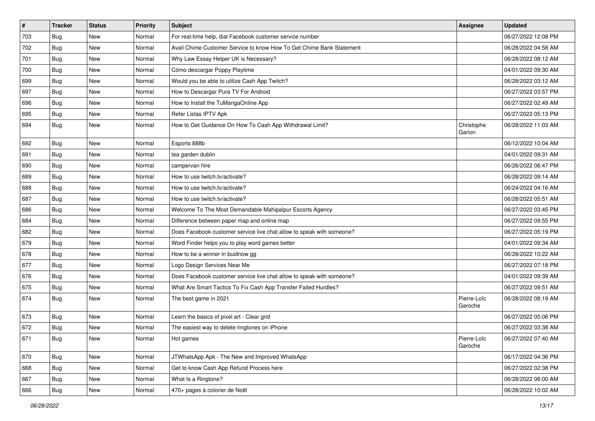| $\sharp$ | <b>Tracker</b> | <b>Status</b> | <b>Priority</b> | Subject                                                               | <b>Assignee</b>        | <b>Updated</b>      |
|----------|----------------|---------------|-----------------|-----------------------------------------------------------------------|------------------------|---------------------|
| 703      | Bug            | New           | Normal          | For real-time help, dial Facebook customer service number             |                        | 06/27/2022 12:08 PM |
| 702      | Bug            | <b>New</b>    | Normal          | Avail Chime Customer Service to know How To Get Chime Bank Statement  |                        | 06/28/2022 04:58 AM |
| 701      | <b>Bug</b>     | New           | Normal          | Why Law Essay Helper UK is Necessary?                                 |                        | 06/28/2022 08:12 AM |
| 700      | Bug            | <b>New</b>    | Normal          | Cómo descargar Poppy Playtime                                         |                        | 04/01/2022 09:30 AM |
| 699      | Bug            | <b>New</b>    | Normal          | Would you be able to utilize Cash App Twitch?                         |                        | 06/28/2022 03:12 AM |
| 697      | Bug            | New           | Normal          | How to Descargar Pura TV For Android                                  |                        | 06/27/2022 03:57 PM |
| 696      | Bug            | <b>New</b>    | Normal          | How to Install the TuMangaOnline App                                  |                        | 06/27/2022 02:49 AM |
| 695      | <b>Bug</b>     | <b>New</b>    | Normal          | Refer Listas IPTV Apk                                                 |                        | 06/27/2022 05:13 PM |
| 694      | <b>Bug</b>     | <b>New</b>    | Normal          | How to Get Guidance On How To Cash App Withdrawal Limit?              | Christophe<br>Garion   | 06/28/2022 11:03 AM |
| 692      | Bug            | <b>New</b>    | Normal          | Esports 888b                                                          |                        | 06/12/2022 10:04 AM |
| 691      | Bug            | <b>New</b>    | Normal          | tea garden dublin                                                     |                        | 04/01/2022 09:31 AM |
| 690      | Bug            | New           | Normal          | campervan hire                                                        |                        | 06/26/2022 06:47 PM |
| 689      | Bug            | New           | Normal          | How to use twitch.tv/activate?                                        |                        | 06/28/2022 09:14 AM |
| 688      | Bug            | <b>New</b>    | Normal          | How to use twitch.tv/activate?                                        |                        | 06/24/2022 04:16 AM |
| 687      | <b>Bug</b>     | <b>New</b>    | Normal          | How to use twitch.tv/activate?                                        |                        | 06/28/2022 05:51 AM |
| 686      | <b>Bug</b>     | <b>New</b>    | Normal          | Welcome To The Most Demandable Mahipalpur Escorts Agency              |                        | 06/27/2022 03:45 PM |
| 684      | Bug            | <b>New</b>    | Normal          | Difference between paper map and online map                           |                        | 06/27/2022 09:55 PM |
| 682      | Bug            | New           | Normal          | Does Facebook customer service live chat allow to speak with someone? |                        | 06/27/2022 05:19 PM |
| 679      | Bug            | <b>New</b>    | Normal          | Word Finder helps you to play word games better                       |                        | 04/01/2022 09:34 AM |
| 678      | <b>Bug</b>     | <b>New</b>    | Normal          | How to be a winner in buidnow gg                                      |                        | 06/28/2022 10:22 AM |
| 677      | Bug            | <b>New</b>    | Normal          | Logo Design Services Near Me                                          |                        | 06/27/2022 07:18 PM |
| 676      | Bug            | <b>New</b>    | Normal          | Does Facebook customer service live chat allow to speak with someone? |                        | 04/01/2022 09:39 AM |
| 675      | <b>Bug</b>     | New           | Normal          | What Are Smart Tactics To Fix Cash App Transfer Failed Hurdles?       |                        | 06/27/2022 09:51 AM |
| 674      | <b>Bug</b>     | <b>New</b>    | Normal          | The best game in 2021                                                 | Pierre-Loïc<br>Garoche | 06/28/2022 08:19 AM |
| 673      | <b>Bug</b>     | <b>New</b>    | Normal          | Learn the basics of pixel art - Clear grid                            |                        | 06/27/2022 05:06 PM |
| 672      | <b>Bug</b>     | <b>New</b>    | Normal          | The easiest way to delete ringtones on iPhone                         |                        | 06/27/2022 03:38 AM |
| 671      | Bug            | <b>New</b>    | Normal          | Hot games                                                             | Pierre-Loïc<br>Garoche | 06/27/2022 07:40 AM |
| 670      | Bug            | New           | Normal          | JTWhatsApp Apk - The New and Improved WhatsApp                        |                        | 06/17/2022 04:36 PM |
| 668      | Bug            | New           | Normal          | Get to know Cash App Refund Process here                              |                        | 06/27/2022 02:38 PM |
| 667      | <b>Bug</b>     | New           | Normal          | What Is a Ringtone?                                                   |                        | 06/28/2022 06:00 AM |
| 666      | Bug            | New           | Normal          | 470+ pages à colorier de Noël                                         |                        | 06/28/2022 10:02 AM |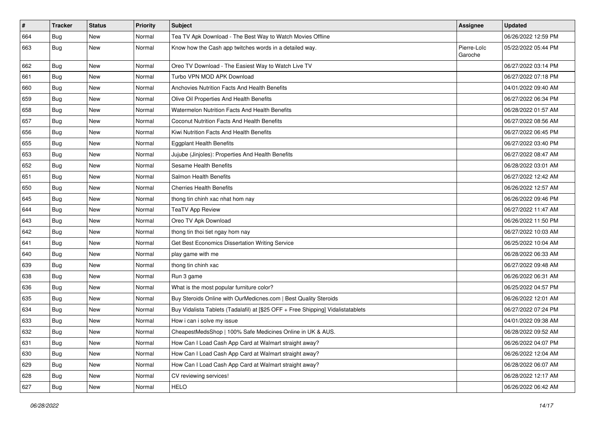| $\sharp$ | <b>Tracker</b> | <b>Status</b> | <b>Priority</b> | Subject                                                                          | Assignee               | <b>Updated</b>      |
|----------|----------------|---------------|-----------------|----------------------------------------------------------------------------------|------------------------|---------------------|
| 664      | Bug            | New           | Normal          | Tea TV Apk Download - The Best Way to Watch Movies Offline                       |                        | 06/26/2022 12:59 PM |
| 663      | <b>Bug</b>     | <b>New</b>    | Normal          | Know how the Cash app twitches words in a detailed way.                          | Pierre-Loïc<br>Garoche | 05/22/2022 05:44 PM |
| 662      | Bug            | <b>New</b>    | Normal          | Oreo TV Download - The Easiest Way to Watch Live TV                              |                        | 06/27/2022 03:14 PM |
| 661      | Bug            | <b>New</b>    | Normal          | Turbo VPN MOD APK Download                                                       |                        | 06/27/2022 07:18 PM |
| 660      | Bug            | <b>New</b>    | Normal          | Anchovies Nutrition Facts And Health Benefits                                    |                        | 04/01/2022 09:40 AM |
| 659      | Bug            | New           | Normal          | Olive Oil Properties And Health Benefits                                         |                        | 06/27/2022 06:34 PM |
| 658      | <b>Bug</b>     | <b>New</b>    | Normal          | Watermelon Nutrition Facts And Health Benefits                                   |                        | 06/28/2022 01:57 AM |
| 657      | Bug            | New           | Normal          | Coconut Nutrition Facts And Health Benefits                                      |                        | 06/27/2022 08:56 AM |
| 656      | Bug            | <b>New</b>    | Normal          | Kiwi Nutrition Facts And Health Benefits                                         |                        | 06/27/2022 06:45 PM |
| 655      | <b>Bug</b>     | <b>New</b>    | Normal          | <b>Eggplant Health Benefits</b>                                                  |                        | 06/27/2022 03:40 PM |
| 653      | Bug            | <b>New</b>    | Normal          | Jujube (Jinjoles): Properties And Health Benefits                                |                        | 06/27/2022 08:47 AM |
| 652      | Bug            | <b>New</b>    | Normal          | Sesame Health Benefits                                                           |                        | 06/28/2022 03:01 AM |
| 651      | Bug            | New           | Normal          | Salmon Health Benefits                                                           |                        | 06/27/2022 12:42 AM |
| 650      | Bug            | <b>New</b>    | Normal          | <b>Cherries Health Benefits</b>                                                  |                        | 06/26/2022 12:57 AM |
| 645      | Bug            | New           | Normal          | thong tin chinh xac nhat hom nay                                                 |                        | 06/26/2022 09:46 PM |
| 644      | Bug            | <b>New</b>    | Normal          | <b>TeaTV App Review</b>                                                          |                        | 06/27/2022 11:47 AM |
| 643      | Bug            | <b>New</b>    | Normal          | Oreo TV Apk Download                                                             |                        | 06/26/2022 11:50 PM |
| 642      | Bug            | New           | Normal          | thong tin thoi tiet ngay hom nay                                                 |                        | 06/27/2022 10:03 AM |
| 641      | Bug            | <b>New</b>    | Normal          | Get Best Economics Dissertation Writing Service                                  |                        | 06/25/2022 10:04 AM |
| 640      | Bug            | <b>New</b>    | Normal          | play game with me                                                                |                        | 06/28/2022 06:33 AM |
| 639      | Bug            | <b>New</b>    | Normal          | thong tin chinh xac                                                              |                        | 06/27/2022 09:48 AM |
| 638      | Bug            | <b>New</b>    | Normal          | Run 3 game                                                                       |                        | 06/26/2022 06:31 AM |
| 636      | Bug            | New           | Normal          | What is the most popular furniture color?                                        |                        | 06/25/2022 04:57 PM |
| 635      | Bug            | <b>New</b>    | Normal          | Buy Steroids Online with OurMedicnes.com   Best Quality Steroids                 |                        | 06/26/2022 12:01 AM |
| 634      | Bug            | <b>New</b>    | Normal          | Buy Vidalista Tablets (Tadalafil) at [\$25 OFF + Free Shipping] Vidalistatablets |                        | 06/27/2022 07:24 PM |
| 633      | Bug            | New           | Normal          | How i can i solve my issue                                                       |                        | 04/01/2022 09:38 AM |
| 632      | <b>Bug</b>     | <b>New</b>    | Normal          | CheapestMedsShop   100% Safe Medicines Online in UK & AUS.                       |                        | 06/28/2022 09:52 AM |
| 631      | <b>Bug</b>     | New           | Normal          | How Can I Load Cash App Card at Walmart straight away?                           |                        | 06/26/2022 04:07 PM |
| 630      | <b>Bug</b>     | New           | Normal          | How Can I Load Cash App Card at Walmart straight away?                           |                        | 06/26/2022 12:04 AM |
| 629      | Bug            | New           | Normal          | How Can I Load Cash App Card at Walmart straight away?                           |                        | 06/28/2022 06:07 AM |
| 628      | <b>Bug</b>     | New           | Normal          | CV reviewing services!                                                           |                        | 06/28/2022 12:17 AM |
| 627      | <b>Bug</b>     | New           | Normal          | <b>HELO</b>                                                                      |                        | 06/26/2022 06:42 AM |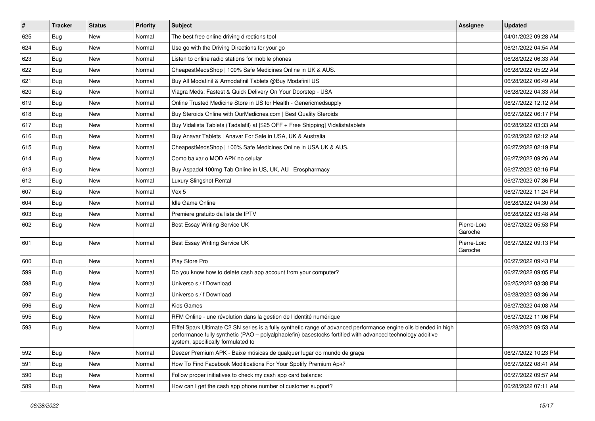| #   | <b>Tracker</b> | <b>Status</b> | <b>Priority</b> | Subject                                                                                                                                                                                                                                                               | <b>Assignee</b>        | <b>Updated</b>      |
|-----|----------------|---------------|-----------------|-----------------------------------------------------------------------------------------------------------------------------------------------------------------------------------------------------------------------------------------------------------------------|------------------------|---------------------|
| 625 | <b>Bug</b>     | New           | Normal          | The best free online driving directions tool                                                                                                                                                                                                                          |                        | 04/01/2022 09:28 AM |
| 624 | Bug            | <b>New</b>    | Normal          | Use go with the Driving Directions for your go                                                                                                                                                                                                                        |                        | 06/21/2022 04:54 AM |
| 623 | Bug            | New           | Normal          | Listen to online radio stations for mobile phones                                                                                                                                                                                                                     |                        | 06/28/2022 06:33 AM |
| 622 | <b>Bug</b>     | New           | Normal          | CheapestMedsShop   100% Safe Medicines Online in UK & AUS.                                                                                                                                                                                                            |                        | 06/28/2022 05:22 AM |
| 621 | Bug            | New           | Normal          | Buy All Modafinil & Armodafinil Tablets @Buy Modafinil US                                                                                                                                                                                                             |                        | 06/28/2022 06:49 AM |
| 620 | Bug            | New           | Normal          | Viagra Meds: Fastest & Quick Delivery On Your Doorstep - USA                                                                                                                                                                                                          |                        | 06/28/2022 04:33 AM |
| 619 | Bug            | <b>New</b>    | Normal          | Online Trusted Medicine Store in US for Health - Genericmedsupply                                                                                                                                                                                                     |                        | 06/27/2022 12:12 AM |
| 618 | Bug            | New           | Normal          | Buy Steroids Online with OurMedicnes.com   Best Quality Steroids                                                                                                                                                                                                      |                        | 06/27/2022 06:17 PM |
| 617 | <b>Bug</b>     | New           | Normal          | Buy Vidalista Tablets (Tadalafil) at [\$25 OFF + Free Shipping] Vidalistatablets                                                                                                                                                                                      |                        | 06/28/2022 03:33 AM |
| 616 | Bug            | New           | Normal          | Buy Anavar Tablets   Anavar For Sale in USA, UK & Australia                                                                                                                                                                                                           |                        | 06/28/2022 02:12 AM |
| 615 | Bug            | New           | Normal          | CheapestMedsShop   100% Safe Medicines Online in USA UK & AUS.                                                                                                                                                                                                        |                        | 06/27/2022 02:19 PM |
| 614 | Bug            | New           | Normal          | Como baixar o MOD APK no celular                                                                                                                                                                                                                                      |                        | 06/27/2022 09:26 AM |
| 613 | Bug            | New           | Normal          | Buy Aspadol 100mg Tab Online in US, UK, AU   Erospharmacy                                                                                                                                                                                                             |                        | 06/27/2022 02:16 PM |
| 612 | <b>Bug</b>     | <b>New</b>    | Normal          | Luxury Slingshot Rental                                                                                                                                                                                                                                               |                        | 06/27/2022 07:36 PM |
| 607 | Bug            | New           | Normal          | Vex 5                                                                                                                                                                                                                                                                 |                        | 06/27/2022 11:24 PM |
| 604 | Bug            | New           | Normal          | <b>Idle Game Online</b>                                                                                                                                                                                                                                               |                        | 06/28/2022 04:30 AM |
| 603 | <b>Bug</b>     | New           | Normal          | Premiere gratuito da lista de IPTV                                                                                                                                                                                                                                    |                        | 06/28/2022 03:48 AM |
| 602 | Bug            | New           | Normal          | Best Essay Writing Service UK                                                                                                                                                                                                                                         | Pierre-Loïc<br>Garoche | 06/27/2022 05:53 PM |
| 601 | <b>Bug</b>     | <b>New</b>    | Normal          | Best Essay Writing Service UK                                                                                                                                                                                                                                         | Pierre-Loïc<br>Garoche | 06/27/2022 09:13 PM |
| 600 | <b>Bug</b>     | <b>New</b>    | Normal          | Play Store Pro                                                                                                                                                                                                                                                        |                        | 06/27/2022 09:43 PM |
| 599 | Bug            | New           | Normal          | Do you know how to delete cash app account from your computer?                                                                                                                                                                                                        |                        | 06/27/2022 09:05 PM |
| 598 | <b>Bug</b>     | New           | Normal          | Universo s / f Download                                                                                                                                                                                                                                               |                        | 06/25/2022 03:38 PM |
| 597 | <b>Bug</b>     | New           | Normal          | Universo s / f Download                                                                                                                                                                                                                                               |                        | 06/28/2022 03:36 AM |
| 596 | <b>Bug</b>     | New           | Normal          | <b>Kids Games</b>                                                                                                                                                                                                                                                     |                        | 06/27/2022 04:08 AM |
| 595 | <b>Bug</b>     | New           | Normal          | RFM Online - une révolution dans la gestion de l'identité numérique                                                                                                                                                                                                   |                        | 06/27/2022 11:06 PM |
| 593 | <b>Bug</b>     | New           | Normal          | Eiffel Spark Ultimate C2 SN series is a fully synthetic range of advanced performance engine oils blended in high<br>performance fully synthetic (PAO - polyalphaolefin) basestocks fortified with advanced technology additive<br>system, specifically formulated to |                        | 06/28/2022 09:53 AM |
| 592 | Bug            | <b>New</b>    | Normal          | Deezer Premium APK - Baixe músicas de qualquer lugar do mundo de graça                                                                                                                                                                                                |                        | 06/27/2022 10:23 PM |
| 591 | <b>Bug</b>     | New           | Normal          | How To Find Facebook Modifications For Your Spotify Premium Apk?                                                                                                                                                                                                      |                        | 06/27/2022 08:41 AM |
| 590 | <b>Bug</b>     | New           | Normal          | Follow proper initiatives to check my cash app card balance:                                                                                                                                                                                                          |                        | 06/27/2022 09:57 AM |
| 589 | <b>Bug</b>     | New           | Normal          | How can I get the cash app phone number of customer support?                                                                                                                                                                                                          |                        | 06/28/2022 07:11 AM |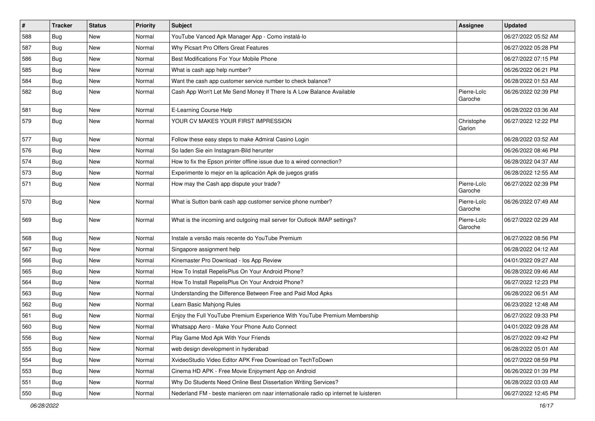| $\vert$ # | <b>Tracker</b> | <b>Status</b> | <b>Priority</b> | Subject                                                                             | <b>Assignee</b>        | <b>Updated</b>      |
|-----------|----------------|---------------|-----------------|-------------------------------------------------------------------------------------|------------------------|---------------------|
| 588       | Bug            | New           | Normal          | YouTube Vanced Apk Manager App - Como instalá-lo                                    |                        | 06/27/2022 05:52 AM |
| 587       | Bug            | New           | Normal          | Why Picsart Pro Offers Great Features                                               |                        | 06/27/2022 05:28 PM |
| 586       | Bug            | New           | Normal          | Best Modifications For Your Mobile Phone                                            |                        | 06/27/2022 07:15 PM |
| 585       | Bug            | New           | Normal          | What is cash app help number?                                                       |                        | 06/26/2022 06:21 PM |
| 584       | Bug            | <b>New</b>    | Normal          | Want the cash app customer service number to check balance?                         |                        | 06/28/2022 01:53 AM |
| 582       | <b>Bug</b>     | New           | Normal          | Cash App Won't Let Me Send Money If There Is A Low Balance Available                | Pierre-Loïc<br>Garoche | 06/26/2022 02:39 PM |
| 581       | Bug            | <b>New</b>    | Normal          | E-Learning Course Help                                                              |                        | 06/28/2022 03:36 AM |
| 579       | <b>Bug</b>     | New           | Normal          | YOUR CV MAKES YOUR FIRST IMPRESSION                                                 | Christophe<br>Garion   | 06/27/2022 12:22 PM |
| 577       | Bug            | <b>New</b>    | Normal          | Follow these easy steps to make Admiral Casino Login                                |                        | 06/28/2022 03:52 AM |
| 576       | Bug            | New           | Normal          | So laden Sie ein Instagram-Bild herunter                                            |                        | 06/26/2022 08:46 PM |
| 574       | Bug            | <b>New</b>    | Normal          | How to fix the Epson printer offline issue due to a wired connection?               |                        | 06/28/2022 04:37 AM |
| 573       | <b>Bug</b>     | New           | Normal          | Experimente lo mejor en la aplicación Apk de juegos gratis                          |                        | 06/28/2022 12:55 AM |
| 571       | <b>Bug</b>     | New           | Normal          | How may the Cash app dispute your trade?                                            | Pierre-Loïc<br>Garoche | 06/27/2022 02:39 PM |
| 570       | <b>Bug</b>     | <b>New</b>    | Normal          | What is Sutton bank cash app customer service phone number?                         | Pierre-Loïc<br>Garoche | 06/26/2022 07:49 AM |
| 569       | <b>Bug</b>     | <b>New</b>    | Normal          | What is the incoming and outgoing mail server for Outlook IMAP settings?            | Pierre-Loïc<br>Garoche | 06/27/2022 02:29 AM |
| 568       | Bug            | <b>New</b>    | Normal          | Instale a versão mais recente do YouTube Premium                                    |                        | 06/27/2022 08:56 PM |
| 567       | <b>Bug</b>     | New           | Normal          | Singapore assignment help                                                           |                        | 06/28/2022 04:12 AM |
| 566       | <b>Bug</b>     | New           | Normal          | Kinemaster Pro Download - los App Review                                            |                        | 04/01/2022 09:27 AM |
| 565       | Bug            | <b>New</b>    | Normal          | How To Install RepelisPlus On Your Android Phone?                                   |                        | 06/28/2022 09:46 AM |
| 564       | <b>Bug</b>     | New           | Normal          | How To Install RepelisPlus On Your Android Phone?                                   |                        | 06/27/2022 12:23 PM |
| 563       | Bug            | New           | Normal          | Understanding the Difference Between Free and Paid Mod Apks                         |                        | 06/28/2022 06:51 AM |
| 562       | Bug            | New           | Normal          | Learn Basic Mahjong Rules                                                           |                        | 06/23/2022 12:48 AM |
| 561       | Bug            | New           | Normal          | Enjoy the Full YouTube Premium Experience With YouTube Premium Membership           |                        | 06/27/2022 09:33 PM |
| 560       | <b>Bug</b>     | <b>New</b>    | Normal          | Whatsapp Aero - Make Your Phone Auto Connect                                        |                        | 04/01/2022 09:28 AM |
| 556       | Bug            | New           | Normal          | Play Game Mod Apk With Your Friends                                                 |                        | 06/27/2022 09:42 PM |
| 555       | <b>Bug</b>     | New           | Normal          | web design development in hyderabad                                                 |                        | 06/28/2022 05:01 AM |
| 554       | Bug            | New           | Normal          | XvideoStudio Video Editor APK Free Download on TechToDown                           |                        | 06/27/2022 08:59 PM |
| 553       | <b>Bug</b>     | New           | Normal          | Cinema HD APK - Free Movie Enjoyment App on Android                                 |                        | 06/26/2022 01:39 PM |
| 551       | Bug            | New           | Normal          | Why Do Students Need Online Best Dissertation Writing Services?                     |                        | 06/28/2022 03:03 AM |
| 550       | <b>Bug</b>     | New           | Normal          | Nederland FM - beste manieren om naar internationale radio op internet te luisteren |                        | 06/27/2022 12:45 PM |